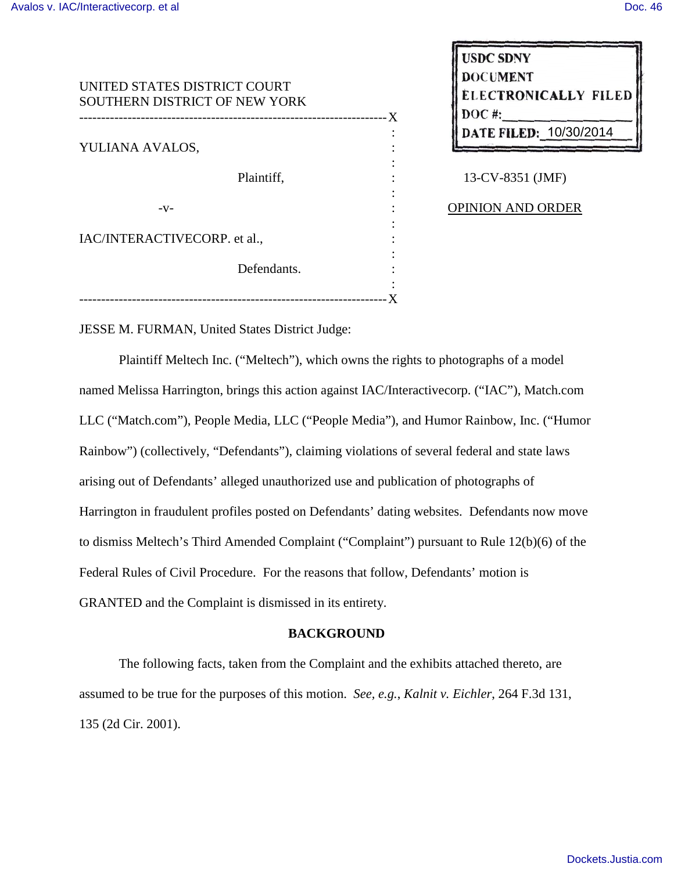| UNITED STATES DISTRICT COURT<br>SOUTHERN DISTRICT OF NEW YORK |  |
|---------------------------------------------------------------|--|
|                                                               |  |
|                                                               |  |
| YULIANA AVALOS,                                               |  |
|                                                               |  |
| Plaintiff,                                                    |  |
|                                                               |  |
| $-V-$                                                         |  |
|                                                               |  |
| IAC/INTERACTIVECORP. et al.,                                  |  |
|                                                               |  |
| Defendants.                                                   |  |
|                                                               |  |
|                                                               |  |

**USDC SDNY DOCUMENT CTRONICALLY FILED** ATE FILED: 10/30/2014

13-CV-8351 (JMF)

OPINION AND ORDER

JESSE M. FURMAN, United States District Judge:

Plaintiff Meltech Inc. ("Meltech"), which owns the rights to photographs of a model named Melissa Harrington, brings this action against IAC/Interactivecorp. ("IAC"), Match.com LLC ("Match.com"), People Media, LLC ("People Media"), and Humor Rainbow, Inc. ("Humor Rainbow") (collectively, "Defendants"), claiming violations of several federal and state laws arising out of Defendants' alleged unauthorized use and publication of photographs of Harrington in fraudulent profiles posted on Defendants' dating websites. Defendants now move to dismiss Meltech's Third Amended Complaint ("Complaint") pursuant to Rule 12(b)(6) of the Federal Rules of Civil Procedure. For the reasons that follow, Defendants' motion is GRANTED and the Complaint is dismissed in its entirety.

## **BACKGROUND**

The following facts, taken from the Complaint and the exhibits attached thereto, are assumed to be true for the purposes of this motion. *See, e.g.*, *Kalnit v. Eichler*, 264 F.3d 131, 135 (2d Cir. 2001).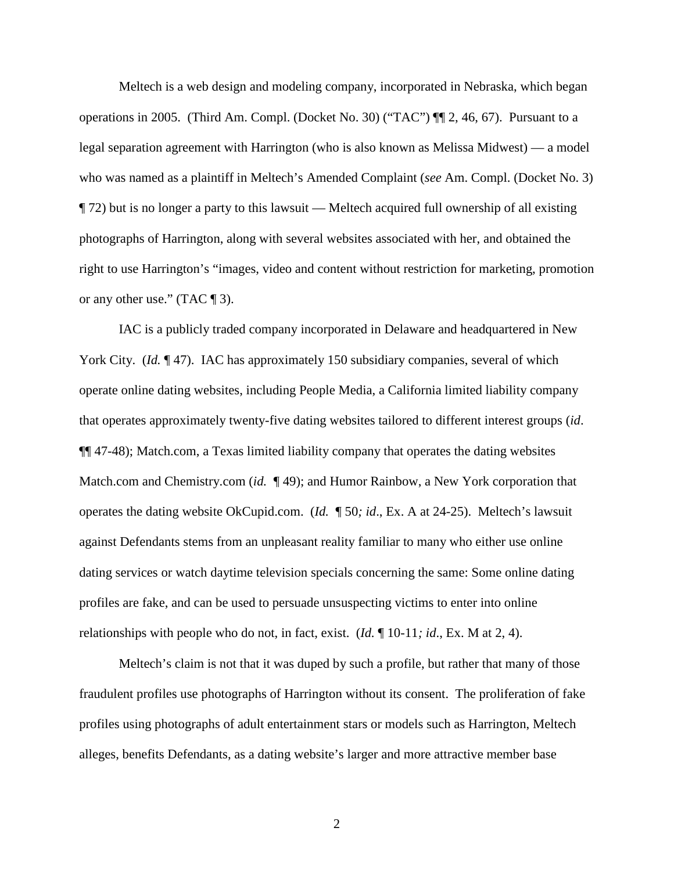Meltech is a web design and modeling company, incorporated in Nebraska, which began operations in 2005. (Third Am. Compl. (Docket No. 30) ("TAC") ¶¶ 2, 46, 67). Pursuant to a legal separation agreement with Harrington (who is also known as Melissa Midwest) — a model who was named as a plaintiff in Meltech's Amended Complaint (*see* Am. Compl. (Docket No. 3) ¶ 72) but is no longer a party to this lawsuit — Meltech acquired full ownership of all existing photographs of Harrington, along with several websites associated with her, and obtained the right to use Harrington's "images, video and content without restriction for marketing, promotion or any other use." (TAC ¶ 3).

IAC is a publicly traded company incorporated in Delaware and headquartered in New York City. *(Id.* ¶47). IAC has approximately 150 subsidiary companies, several of which operate online dating websites, including People Media, a California limited liability company that operates approximately twenty-five dating websites tailored to different interest groups (*id*. ¶¶ 47-48); Match.com, a Texas limited liability company that operates the dating websites Match.com and Chemistry.com *(id.* 199); and Humor Rainbow, a New York corporation that operates the dating website OkCupid.com. (*Id.* ¶ 50*; id*., Ex. A at 24-25). Meltech's lawsuit against Defendants stems from an unpleasant reality familiar to many who either use online dating services or watch daytime television specials concerning the same: Some online dating profiles are fake, and can be used to persuade unsuspecting victims to enter into online relationships with people who do not, in fact, exist. (*Id.* ¶ 10-11*; id*., Ex. M at 2, 4).

Meltech's claim is not that it was duped by such a profile, but rather that many of those fraudulent profiles use photographs of Harrington without its consent. The proliferation of fake profiles using photographs of adult entertainment stars or models such as Harrington, Meltech alleges, benefits Defendants, as a dating website's larger and more attractive member base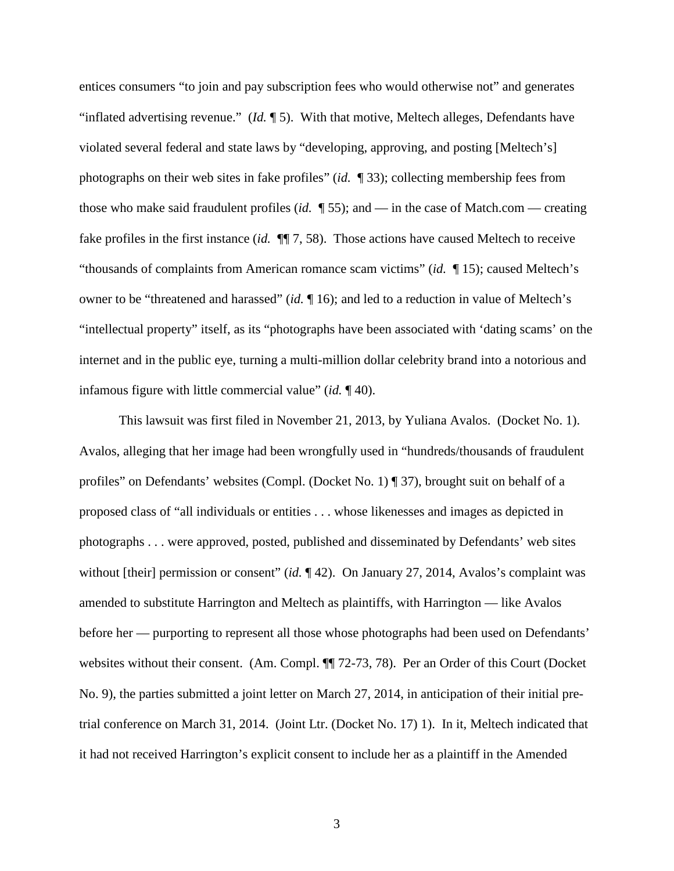entices consumers "to join and pay subscription fees who would otherwise not" and generates "inflated advertising revenue." (*Id.* ¶ 5). With that motive, Meltech alleges, Defendants have violated several federal and state laws by "developing, approving, and posting [Meltech's] photographs on their web sites in fake profiles" (*id.* ¶ 33); collecting membership fees from those who make said fraudulent profiles (*id.* ¶ 55); and — in the case of Match.com — creating fake profiles in the first instance (*id.* ¶¶ 7, 58). Those actions have caused Meltech to receive "thousands of complaints from American romance scam victims" (*id.* ¶ 15); caused Meltech's owner to be "threatened and harassed" (*id.* ¶ 16); and led to a reduction in value of Meltech's "intellectual property" itself, as its "photographs have been associated with 'dating scams' on the internet and in the public eye, turning a multi-million dollar celebrity brand into a notorious and infamous figure with little commercial value" (*id.* ¶ 40).

This lawsuit was first filed in November 21, 2013, by Yuliana Avalos. (Docket No. 1). Avalos, alleging that her image had been wrongfully used in "hundreds/thousands of fraudulent profiles" on Defendants' websites (Compl. (Docket No. 1) ¶ 37), brought suit on behalf of a proposed class of "all individuals or entities . . . whose likenesses and images as depicted in photographs . . . were approved, posted, published and disseminated by Defendants' web sites without [their] permission or consent" (*id.* 142). On January 27, 2014, Avalos's complaint was amended to substitute Harrington and Meltech as plaintiffs, with Harrington — like Avalos before her — purporting to represent all those whose photographs had been used on Defendants' websites without their consent. (Am. Compl.  $\P$  72-73, 78). Per an Order of this Court (Docket No. 9), the parties submitted a joint letter on March 27, 2014, in anticipation of their initial pretrial conference on March 31, 2014. (Joint Ltr. (Docket No. 17) 1). In it, Meltech indicated that it had not received Harrington's explicit consent to include her as a plaintiff in the Amended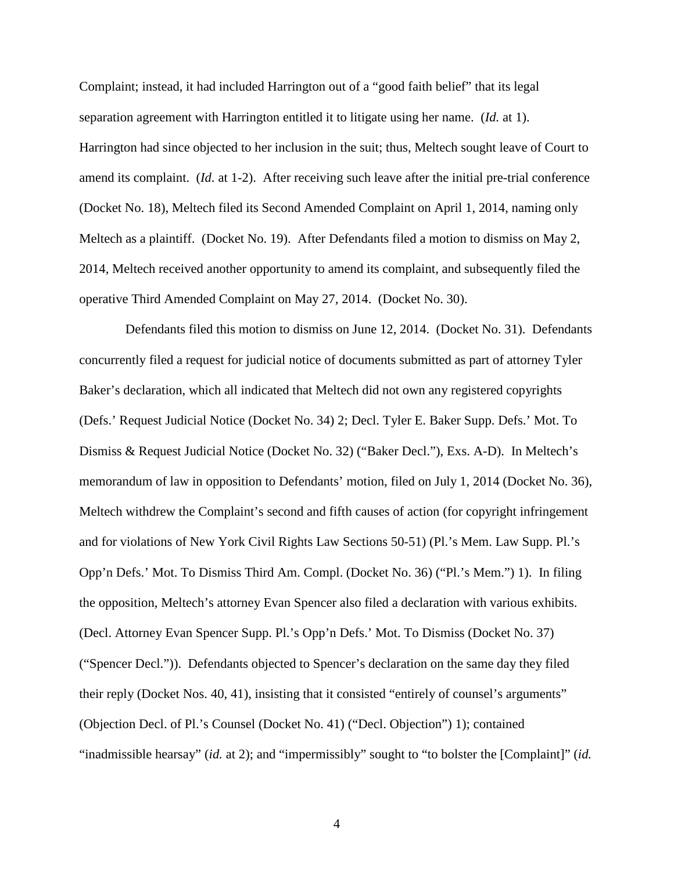Complaint; instead, it had included Harrington out of a "good faith belief" that its legal separation agreement with Harrington entitled it to litigate using her name. (*Id.* at 1). Harrington had since objected to her inclusion in the suit; thus, Meltech sought leave of Court to amend its complaint. (*Id.* at 1-2). After receiving such leave after the initial pre-trial conference (Docket No. 18), Meltech filed its Second Amended Complaint on April 1, 2014, naming only Meltech as a plaintiff. (Docket No. 19). After Defendants filed a motion to dismiss on May 2, 2014, Meltech received another opportunity to amend its complaint, and subsequently filed the operative Third Amended Complaint on May 27, 2014. (Docket No. 30).

 Defendants filed this motion to dismiss on June 12, 2014. (Docket No. 31). Defendants concurrently filed a request for judicial notice of documents submitted as part of attorney Tyler Baker's declaration, which all indicated that Meltech did not own any registered copyrights (Defs.' Request Judicial Notice (Docket No. 34) 2; Decl. Tyler E. Baker Supp. Defs.' Mot. To Dismiss & Request Judicial Notice (Docket No. 32) ("Baker Decl."), Exs. A-D). In Meltech's memorandum of law in opposition to Defendants' motion, filed on July 1, 2014 (Docket No. 36), Meltech withdrew the Complaint's second and fifth causes of action (for copyright infringement and for violations of New York Civil Rights Law Sections 50-51) (Pl.'s Mem. Law Supp. Pl.'s Opp'n Defs.' Mot. To Dismiss Third Am. Compl. (Docket No. 36) ("Pl.'s Mem.") 1). In filing the opposition, Meltech's attorney Evan Spencer also filed a declaration with various exhibits. (Decl. Attorney Evan Spencer Supp. Pl.'s Opp'n Defs.' Mot. To Dismiss (Docket No. 37) ("Spencer Decl.")). Defendants objected to Spencer's declaration on the same day they filed their reply (Docket Nos. 40, 41), insisting that it consisted "entirely of counsel's arguments" (Objection Decl. of Pl.'s Counsel (Docket No. 41) ("Decl. Objection") 1); contained "inadmissible hearsay" (*id.* at 2); and "impermissibly" sought to "to bolster the [Complaint]" (*id.*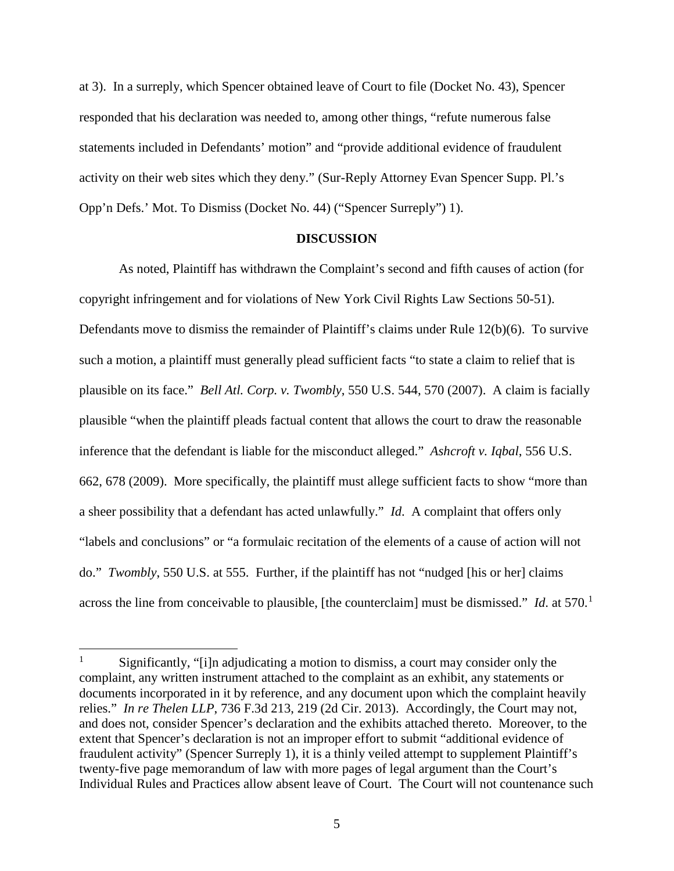at 3). In a surreply, which Spencer obtained leave of Court to file (Docket No. 43), Spencer responded that his declaration was needed to, among other things, "refute numerous false statements included in Defendants' motion" and "provide additional evidence of fraudulent activity on their web sites which they deny." (Sur-Reply Attorney Evan Spencer Supp. Pl.'s Opp'n Defs.' Mot. To Dismiss (Docket No. 44) ("Spencer Surreply") 1).

#### **DISCUSSION**

As noted, Plaintiff has withdrawn the Complaint's second and fifth causes of action (for copyright infringement and for violations of New York Civil Rights Law Sections 50-51). Defendants move to dismiss the remainder of Plaintiff's claims under Rule 12(b)(6). To survive such a motion, a plaintiff must generally plead sufficient facts "to state a claim to relief that is plausible on its face." *Bell Atl. Corp. v. Twombly*, 550 U.S. 544, 570 (2007). A claim is facially plausible "when the plaintiff pleads factual content that allows the court to draw the reasonable inference that the defendant is liable for the misconduct alleged." *Ashcroft v. Iqbal*, 556 U.S. 662, 678 (2009). More specifically, the plaintiff must allege sufficient facts to show "more than a sheer possibility that a defendant has acted unlawfully." *Id*. A complaint that offers only "labels and conclusions" or "a formulaic recitation of the elements of a cause of action will not do." *Twombly*, 550 U.S. at 555. Further, if the plaintiff has not "nudged [his or her] claims across the line from conceivable to plausible, [the counterclaim] must be dismissed." *Id.* at 570.<sup>1</sup>

<u>.</u>

<sup>1</sup> Significantly, "[i]n adjudicating a motion to dismiss, a court may consider only the complaint, any written instrument attached to the complaint as an exhibit, any statements or documents incorporated in it by reference, and any document upon which the complaint heavily relies." *In re Thelen LLP*, 736 F.3d 213, 219 (2d Cir. 2013). Accordingly, the Court may not, and does not, consider Spencer's declaration and the exhibits attached thereto. Moreover, to the extent that Spencer's declaration is not an improper effort to submit "additional evidence of fraudulent activity" (Spencer Surreply 1), it is a thinly veiled attempt to supplement Plaintiff's twenty-five page memorandum of law with more pages of legal argument than the Court's Individual Rules and Practices allow absent leave of Court. The Court will not countenance such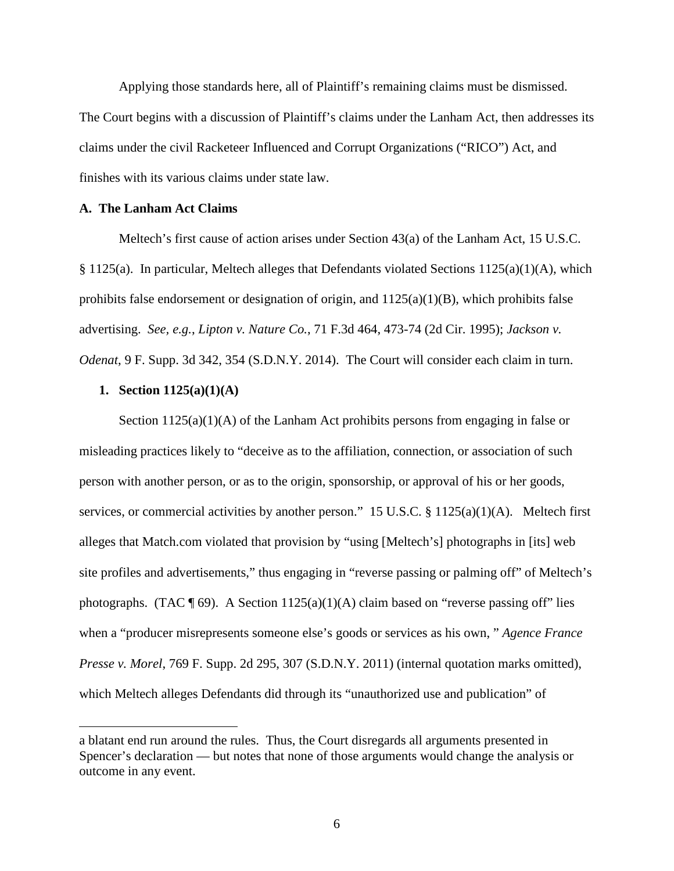Applying those standards here, all of Plaintiff's remaining claims must be dismissed. The Court begins with a discussion of Plaintiff's claims under the Lanham Act, then addresses its claims under the civil Racketeer Influenced and Corrupt Organizations ("RICO") Act, and finishes with its various claims under state law.

### **A. The Lanham Act Claims**

Meltech's first cause of action arises under Section 43(a) of the Lanham Act, 15 U.S.C. § 1125(a). In particular, Meltech alleges that Defendants violated Sections 1125(a)(1)(A), which prohibits false endorsement or designation of origin, and 1125(a)(1)(B), which prohibits false advertising. *See, e.g.*, *Lipton v. Nature Co.*, 71 F.3d 464, 473-74 (2d Cir. 1995); *Jackson v. Odenat*, 9 F. Supp. 3d 342, 354 (S.D.N.Y. 2014). The Court will consider each claim in turn.

## **1. Section 1125(a)(1)(A)**

 $\overline{a}$ 

Section  $1125(a)(1)(A)$  of the Lanham Act prohibits persons from engaging in false or misleading practices likely to "deceive as to the affiliation, connection, or association of such person with another person, or as to the origin, sponsorship, or approval of his or her goods, services, or commercial activities by another person." 15 U.S.C. § 1125(a)(1)(A). Meltech first alleges that Match.com violated that provision by "using [Meltech's] photographs in [its] web site profiles and advertisements," thus engaging in "reverse passing or palming off" of Meltech's photographs. (TAC  $\P$  69). A Section 1125(a)(1)(A) claim based on "reverse passing off" lies when a "producer misrepresents someone else's goods or services as his own, " *Agence France Presse v. Morel*, 769 F. Supp. 2d 295, 307 (S.D.N.Y. 2011) (internal quotation marks omitted), which Meltech alleges Defendants did through its "unauthorized use and publication" of

a blatant end run around the rules. Thus, the Court disregards all arguments presented in Spencer's declaration — but notes that none of those arguments would change the analysis or outcome in any event.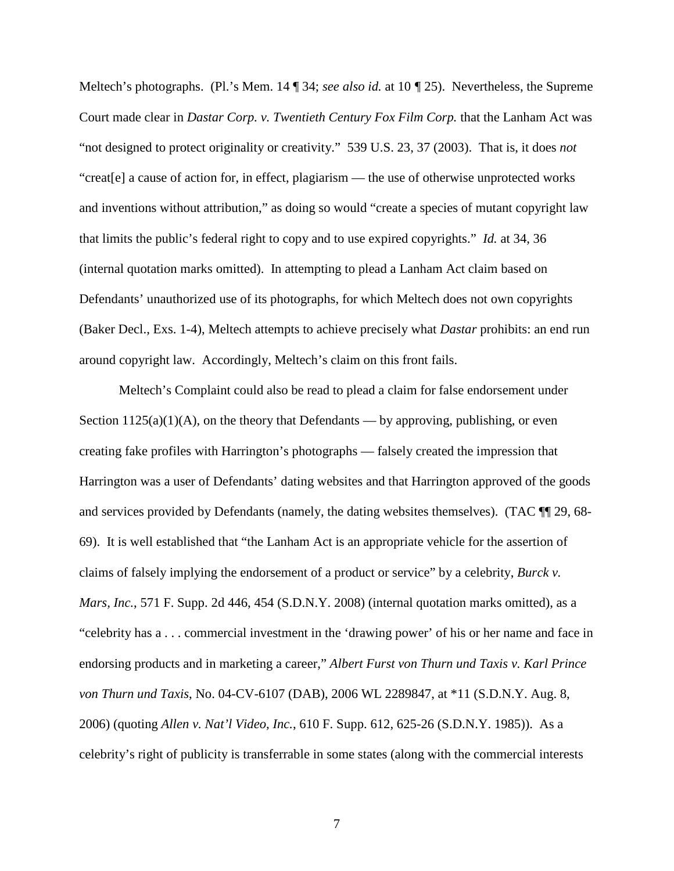Meltech's photographs. (Pl.'s Mem. 14 ¶ 34; *see also id.* at 10 *¶* 25).Nevertheless, the Supreme Court made clear in *Dastar Corp. v. Twentieth Century Fox Film Corp.* that the Lanham Act was "not designed to protect originality or creativity." 539 U.S. 23, 37 (2003). That is, it does *not*  "creat[e] a cause of action for, in effect, plagiarism — the use of otherwise unprotected works and inventions without attribution," as doing so would "create a species of mutant copyright law that limits the public's federal right to copy and to use expired copyrights." *Id.* at 34, 36 (internal quotation marks omitted). In attempting to plead a Lanham Act claim based on Defendants' unauthorized use of its photographs, for which Meltech does not own copyrights (Baker Decl., Exs. 1-4), Meltech attempts to achieve precisely what *Dastar* prohibits: an end run around copyright law. Accordingly, Meltech's claim on this front fails.

Meltech's Complaint could also be read to plead a claim for false endorsement under Section  $1125(a)(1)(A)$ , on the theory that Defendants — by approving, publishing, or even creating fake profiles with Harrington's photographs — falsely created the impression that Harrington was a user of Defendants' dating websites and that Harrington approved of the goods and services provided by Defendants (namely, the dating websites themselves). (TAC ¶¶ 29, 68- 69). It is well established that "the Lanham Act is an appropriate vehicle for the assertion of claims of falsely implying the endorsement of a product or service" by a celebrity, *Burck v. Mars, Inc.*, 571 F. Supp. 2d 446, 454 (S.D.N.Y. 2008) (internal quotation marks omitted), as a "celebrity has a . . . commercial investment in the 'drawing power' of his or her name and face in endorsing products and in marketing a career," *Albert Furst von Thurn und Taxis v. Karl Prince von Thurn und Taxis*, No. 04-CV-6107 (DAB), 2006 WL 2289847, at \*11 (S.D.N.Y. Aug. 8, 2006) (quoting *Allen v. Nat'l Video, Inc.*, 610 F. Supp. 612, 625-26 (S.D.N.Y. 1985)). As a celebrity's right of publicity is transferrable in some states (along with the commercial interests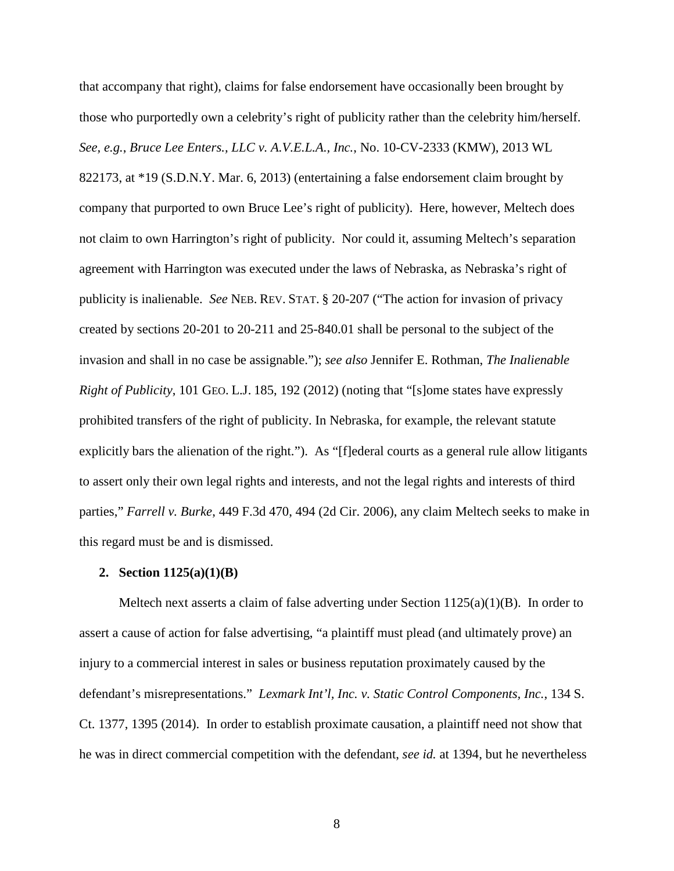that accompany that right), claims for false endorsement have occasionally been brought by those who purportedly own a celebrity's right of publicity rather than the celebrity him/herself. *See, e.g.*, *Bruce Lee Enters., LLC v. A.V.E.L.A., Inc.*, No. 10-CV-2333 (KMW), 2013 WL 822173, at \*19 (S.D.N.Y. Mar. 6, 2013) (entertaining a false endorsement claim brought by company that purported to own Bruce Lee's right of publicity). Here, however, Meltech does not claim to own Harrington's right of publicity. Nor could it, assuming Meltech's separation agreement with Harrington was executed under the laws of Nebraska, as Nebraska's right of publicity is inalienable. *See* NEB. REV. STAT. § 20-207 ("The action for invasion of privacy created by sections 20-201 to 20-211 and 25-840.01 shall be personal to the subject of the invasion and shall in no case be assignable."); *see also* Jennifer E. Rothman, *The Inalienable Right of Publicity*, 101 GEO. L.J. 185, 192 (2012) (noting that "[s]ome states have expressly prohibited transfers of the right of publicity. In Nebraska, for example, the relevant statute explicitly bars the alienation of the right."). As "[f]ederal courts as a general rule allow litigants to assert only their own legal rights and interests, and not the legal rights and interests of third parties," *Farrell v. Burke*, 449 F.3d 470, 494 (2d Cir. 2006), any claim Meltech seeks to make in this regard must be and is dismissed.

#### **2. Section 1125(a)(1)(B)**

Meltech next asserts a claim of false adverting under Section  $1125(a)(1)(B)$ . In order to assert a cause of action for false advertising, "a plaintiff must plead (and ultimately prove) an injury to a commercial interest in sales or business reputation proximately caused by the defendant's misrepresentations." *Lexmark Int'l, Inc. v. Static Control Components, Inc.*, 134 S. Ct. 1377, 1395 (2014). In order to establish proximate causation, a plaintiff need not show that he was in direct commercial competition with the defendant, *see id.* at 1394, but he nevertheless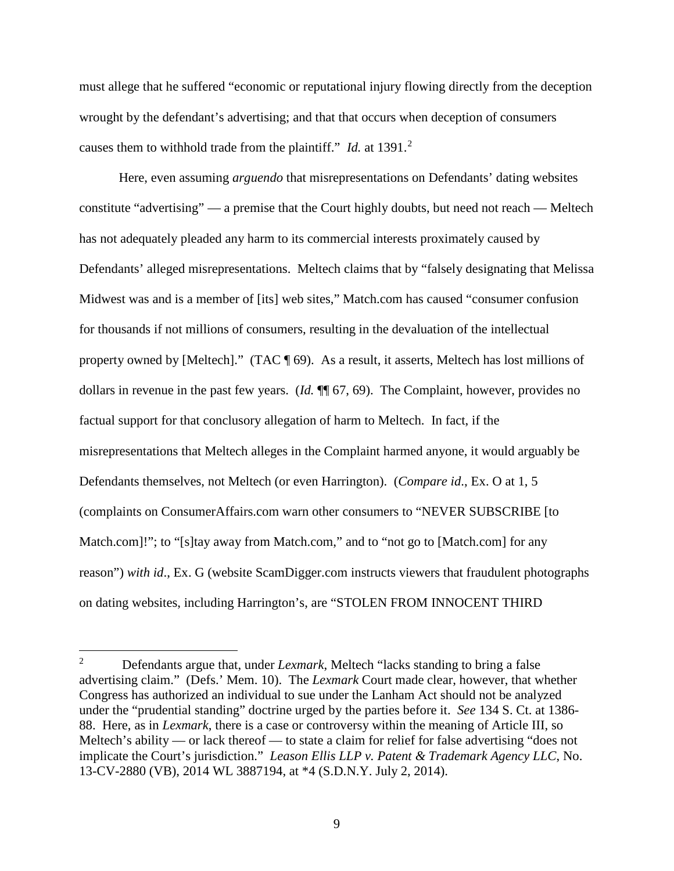must allege that he suffered "economic or reputational injury flowing directly from the deception wrought by the defendant's advertising; and that that occurs when deception of consumers causes them to withhold trade from the plaintiff." *Id.* at 1391.<sup>2</sup>

Here, even assuming *arguendo* that misrepresentations on Defendants' dating websites constitute "advertising" — a premise that the Court highly doubts, but need not reach — Meltech has not adequately pleaded any harm to its commercial interests proximately caused by Defendants' alleged misrepresentations. Meltech claims that by "falsely designating that Melissa Midwest was and is a member of [its] web sites," Match.com has caused "consumer confusion for thousands if not millions of consumers, resulting in the devaluation of the intellectual property owned by [Meltech]." (TAC ¶ 69). As a result, it asserts, Meltech has lost millions of dollars in revenue in the past few years. (*Id.* ¶¶ 67, 69). The Complaint, however, provides no factual support for that conclusory allegation of harm to Meltech. In fact, if the misrepresentations that Meltech alleges in the Complaint harmed anyone, it would arguably be Defendants themselves, not Meltech (or even Harrington). (*Compare id*., Ex. O at 1, 5 (complaints on ConsumerAffairs.com warn other consumers to "NEVER SUBSCRIBE [to Match.com]!"; to "[s]tay away from Match.com," and to "not go to [Match.com] for any reason") *with id*., Ex. G (website ScamDigger.com instructs viewers that fraudulent photographs on dating websites, including Harrington's, are "STOLEN FROM INNOCENT THIRD

<u>.</u>

<sup>2</sup> Defendants argue that, under *Lexmark*, Meltech "lacks standing to bring a false advertising claim." (Defs.' Mem. 10). The *Lexmark* Court made clear, however, that whether Congress has authorized an individual to sue under the Lanham Act should not be analyzed under the "prudential standing" doctrine urged by the parties before it. *See* 134 S. Ct. at 1386- 88. Here, as in *Lexmark*, there is a case or controversy within the meaning of Article III, so Meltech's ability — or lack thereof — to state a claim for relief for false advertising "does not implicate the Court's jurisdiction." *Leason Ellis LLP v. Patent & Trademark Agency LLC*, No. 13-CV-2880 (VB), 2014 WL 3887194, at \*4 (S.D.N.Y. July 2, 2014).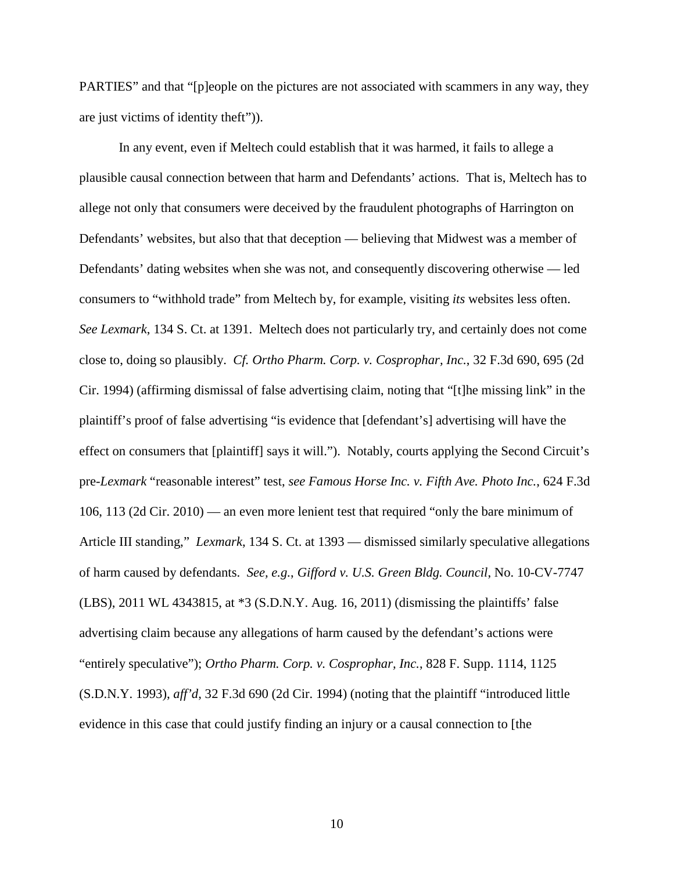PARTIES" and that "[p]eople on the pictures are not associated with scammers in any way, they are just victims of identity theft")).

In any event, even if Meltech could establish that it was harmed, it fails to allege a plausible causal connection between that harm and Defendants' actions. That is, Meltech has to allege not only that consumers were deceived by the fraudulent photographs of Harrington on Defendants' websites, but also that that deception — believing that Midwest was a member of Defendants' dating websites when she was not, and consequently discovering otherwise — led consumers to "withhold trade" from Meltech by, for example, visiting *its* websites less often. *See Lexmark*, 134 S. Ct. at 1391. Meltech does not particularly try, and certainly does not come close to, doing so plausibly. *Cf. Ortho Pharm. Corp. v. Cosprophar, Inc.*, 32 F.3d 690, 695 (2d Cir. 1994) (affirming dismissal of false advertising claim, noting that "[t]he missing link" in the plaintiff's proof of false advertising "is evidence that [defendant's] advertising will have the effect on consumers that [plaintiff] says it will."). Notably, courts applying the Second Circuit's pre-*Lexmark* "reasonable interest" test, *see Famous Horse Inc. v. Fifth Ave. Photo Inc.*, 624 F.3d 106, 113 (2d Cir. 2010) — an even more lenient test that required "only the bare minimum of Article III standing," *Lexmark*, 134 S. Ct. at 1393 — dismissed similarly speculative allegations of harm caused by defendants. *See, e.g.*, *Gifford v. U.S. Green Bldg. Council*, No. 10-CV-7747 (LBS), 2011 WL 4343815, at \*3 (S.D.N.Y. Aug. 16, 2011) (dismissing the plaintiffs' false advertising claim because any allegations of harm caused by the defendant's actions were "entirely speculative"); *Ortho Pharm. Corp. v. Cosprophar, Inc.*, 828 F. Supp. 1114, 1125 (S.D.N.Y. 1993), *aff'd*, 32 F.3d 690 (2d Cir. 1994) (noting that the plaintiff "introduced little evidence in this case that could justify finding an injury or a causal connection to [the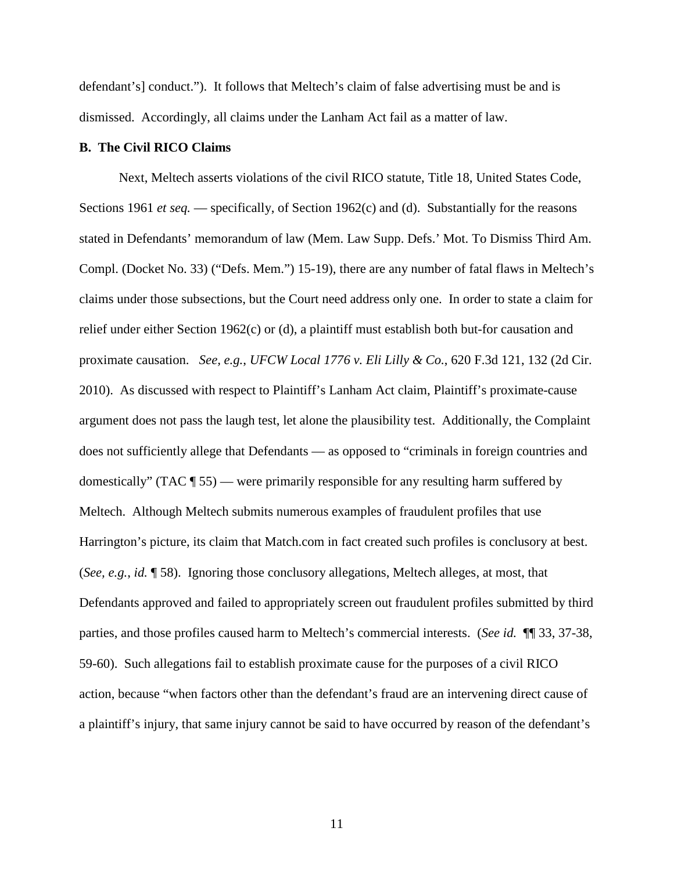defendant's] conduct."). It follows that Meltech's claim of false advertising must be and is dismissed. Accordingly, all claims under the Lanham Act fail as a matter of law.

#### **B. The Civil RICO Claims**

Next, Meltech asserts violations of the civil RICO statute, Title 18, United States Code, Sections 1961 *et seq.* — specifically, of Section 1962(c) and (d). Substantially for the reasons stated in Defendants' memorandum of law (Mem. Law Supp. Defs.' Mot. To Dismiss Third Am. Compl. (Docket No. 33) ("Defs. Mem.") 15-19), there are any number of fatal flaws in Meltech's claims under those subsections, but the Court need address only one. In order to state a claim for relief under either Section 1962(c) or (d), a plaintiff must establish both but-for causation and proximate causation. *See, e.g.*, *UFCW Local 1776 v. Eli Lilly & Co.*, 620 F.3d 121, 132 (2d Cir. 2010). As discussed with respect to Plaintiff's Lanham Act claim, Plaintiff's proximate-cause argument does not pass the laugh test, let alone the plausibility test. Additionally, the Complaint does not sufficiently allege that Defendants — as opposed to "criminals in foreign countries and domestically" (TAC ¶ 55) — were primarily responsible for any resulting harm suffered by Meltech. Although Meltech submits numerous examples of fraudulent profiles that use Harrington's picture, its claim that Match.com in fact created such profiles is conclusory at best. (*See, e.g.*, *id.* ¶ 58). Ignoring those conclusory allegations, Meltech alleges, at most, that Defendants approved and failed to appropriately screen out fraudulent profiles submitted by third parties, and those profiles caused harm to Meltech's commercial interests. (*See id.* ¶¶ 33, 37-38, 59-60). Such allegations fail to establish proximate cause for the purposes of a civil RICO action, because "when factors other than the defendant's fraud are an intervening direct cause of a plaintiff's injury, that same injury cannot be said to have occurred by reason of the defendant's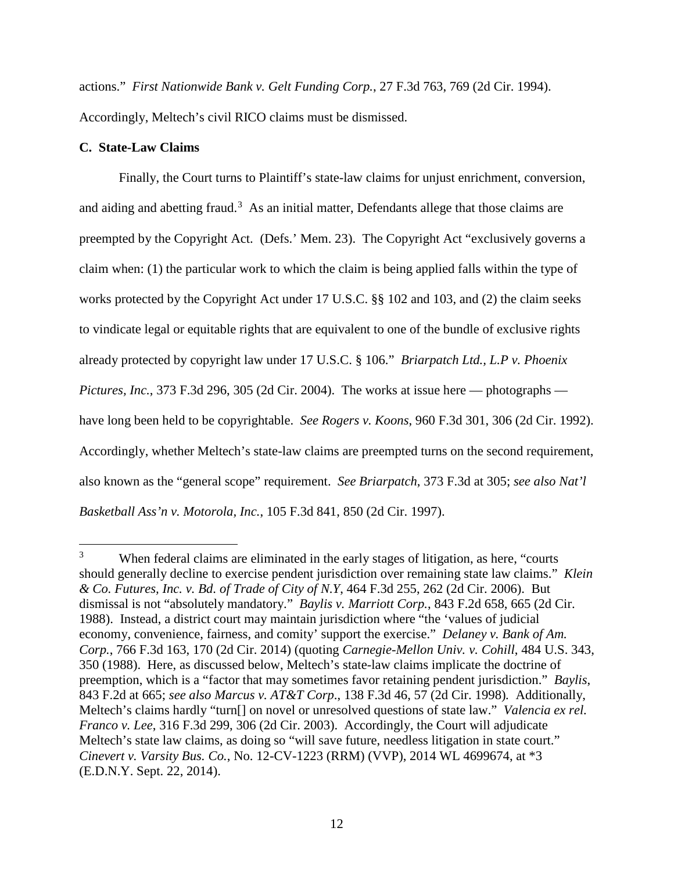actions." *First Nationwide Bank v. Gelt Funding Corp.*, 27 F.3d 763, 769 (2d Cir. 1994). Accordingly, Meltech's civil RICO claims must be dismissed.

## **C. State-Law Claims**

-

Finally, the Court turns to Plaintiff's state-law claims for unjust enrichment, conversion, and aiding and abetting fraud.<sup>3</sup> As an initial matter, Defendants allege that those claims are preempted by the Copyright Act. (Defs.' Mem. 23). The Copyright Act "exclusively governs a claim when: (1) the particular work to which the claim is being applied falls within the type of works protected by the Copyright Act under 17 U.S.C. §§ 102 and 103, and (2) the claim seeks to vindicate legal or equitable rights that are equivalent to one of the bundle of exclusive rights already protected by copyright law under 17 U.S.C. § 106." *Briarpatch Ltd., L.P v. Phoenix Pictures, Inc.*, 373 F.3d 296, 305 (2d Cir. 2004). The works at issue here — photographs have long been held to be copyrightable. *See Rogers v. Koons*, 960 F.3d 301, 306 (2d Cir. 1992). Accordingly, whether Meltech's state-law claims are preempted turns on the second requirement, also known as the "general scope" requirement. *See Briarpatch*, 373 F.3d at 305; *see also Nat'l Basketball Ass'n v. Motorola, Inc.*, 105 F.3d 841, 850 (2d Cir. 1997).

<sup>3</sup> When federal claims are eliminated in the early stages of litigation, as here, "courts should generally decline to exercise pendent jurisdiction over remaining state law claims." *Klein & Co. Futures, Inc. v. Bd. of Trade of City of N.Y*, 464 F.3d 255, 262 (2d Cir. 2006). But dismissal is not "absolutely mandatory." *Baylis v. Marriott Corp.*, 843 F.2d 658, 665 (2d Cir. 1988). Instead, a district court may maintain jurisdiction where "the 'values of judicial economy, convenience, fairness, and comity' support the exercise." *Delaney v. Bank of Am. Corp.*, 766 F.3d 163, 170 (2d Cir. 2014) (quoting *Carnegie-Mellon Univ. v. Cohill*, 484 U.S. 343, 350 (1988). Here, as discussed below, Meltech's state-law claims implicate the doctrine of preemption, which is a "factor that may sometimes favor retaining pendent jurisdiction." *Baylis*, 843 F.2d at 665; *see also Marcus v. AT&T Corp*., 138 F.3d 46, 57 (2d Cir. 1998)*.* Additionally, Meltech's claims hardly "turn[] on novel or unresolved questions of state law." *Valencia ex rel. Franco v. Lee*, 316 F.3d 299, 306 (2d Cir. 2003). Accordingly, the Court will adjudicate Meltech's state law claims, as doing so "will save future, needless litigation in state court." *Cinevert v. Varsity Bus. Co.*, No. 12-CV-1223 (RRM) (VVP), 2014 WL 4699674, at \*3 (E.D.N.Y. Sept. 22, 2014).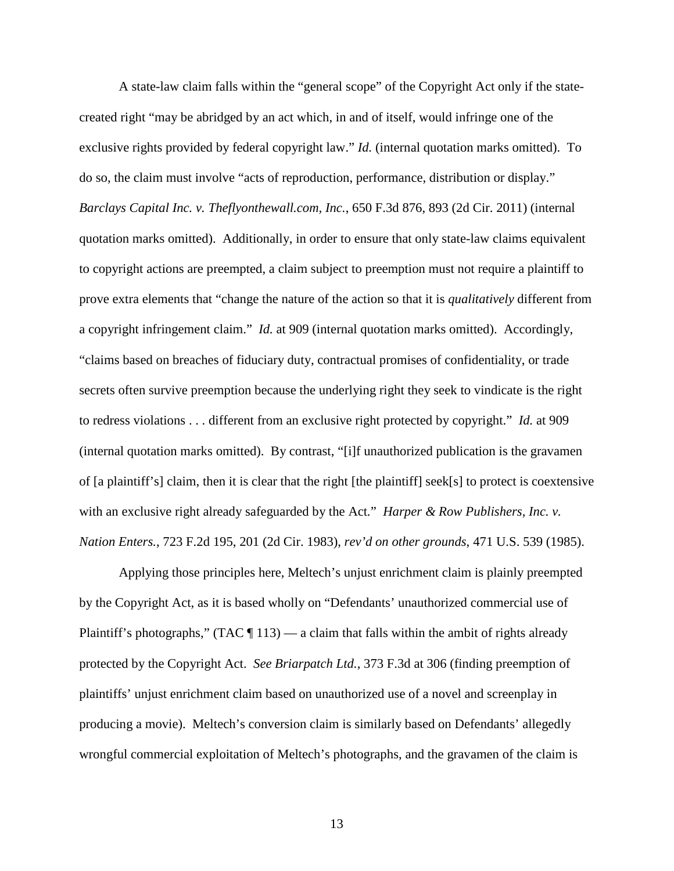A state-law claim falls within the "general scope" of the Copyright Act only if the statecreated right "may be abridged by an act which, in and of itself, would infringe one of the exclusive rights provided by federal copyright law." *Id.* (internal quotation marks omitted). To do so, the claim must involve "acts of reproduction, performance, distribution or display." *Barclays Capital Inc. v. Theflyonthewall.com, Inc.*, 650 F.3d 876, 893 (2d Cir. 2011) (internal quotation marks omitted). Additionally, in order to ensure that only state-law claims equivalent to copyright actions are preempted, a claim subject to preemption must not require a plaintiff to prove extra elements that "change the nature of the action so that it is *qualitatively* different from a copyright infringement claim." *Id.* at 909 (internal quotation marks omitted). Accordingly, "claims based on breaches of fiduciary duty, contractual promises of confidentiality, or trade secrets often survive preemption because the underlying right they seek to vindicate is the right to redress violations . . . different from an exclusive right protected by copyright." *Id.* at 909 (internal quotation marks omitted). By contrast, "[i]f unauthorized publication is the gravamen of [a plaintiff's] claim, then it is clear that the right [the plaintiff] seek[s] to protect is coextensive with an exclusive right already safeguarded by the Act*.*" *Harper & Row Publishers, Inc. v. Nation Enters.*, 723 F.2d 195, 201 (2d Cir. 1983), *rev'd on other grounds*, 471 U.S. 539 (1985).

Applying those principles here, Meltech's unjust enrichment claim is plainly preempted by the Copyright Act, as it is based wholly on "Defendants' unauthorized commercial use of Plaintiff's photographs," (TAC  $\P$  113) — a claim that falls within the ambit of rights already protected by the Copyright Act. *See Briarpatch Ltd.*, 373 F.3d at 306 (finding preemption of plaintiffs' unjust enrichment claim based on unauthorized use of a novel and screenplay in producing a movie). Meltech's conversion claim is similarly based on Defendants' allegedly wrongful commercial exploitation of Meltech's photographs, and the gravamen of the claim is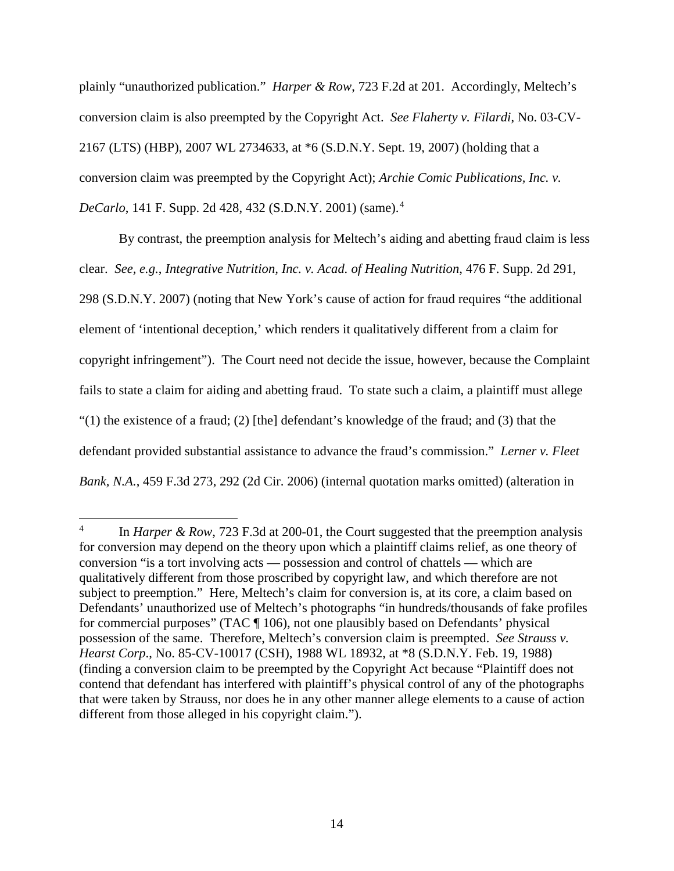plainly "unauthorized publication." *Harper & Row*, 723 F.2d at 201. Accordingly, Meltech's conversion claim is also preempted by the Copyright Act. *See Flaherty v. Filardi*, No. 03-CV-2167 (LTS) (HBP), 2007 WL 2734633, at \*6 (S.D.N.Y. Sept. 19, 2007) (holding that a conversion claim was preempted by the Copyright Act); *Archie Comic Publications, Inc. v. DeCarlo*, 141 F. Supp. 2d 428, 432 (S.D.N.Y. 2001) (same).<sup>4</sup>

By contrast, the preemption analysis for Meltech's aiding and abetting fraud claim is less clear. *See, e.g.*, *Integrative Nutrition, Inc. v. Acad. of Healing Nutrition*, 476 F. Supp. 2d 291, 298 (S.D.N.Y. 2007) (noting that New York's cause of action for fraud requires "the additional element of 'intentional deception,' which renders it qualitatively different from a claim for copyright infringement"). The Court need not decide the issue, however, because the Complaint fails to state a claim for aiding and abetting fraud. To state such a claim, a plaintiff must allege "(1) the existence of a fraud; (2) [the] defendant's knowledge of the fraud; and (3) that the defendant provided substantial assistance to advance the fraud's commission." *Lerner v. Fleet Bank, N.A.*, 459 F.3d 273, 292 (2d Cir. 2006) (internal quotation marks omitted) (alteration in

-

<sup>4</sup> In *Harper & Row*, 723 F.3d at 200-01, the Court suggested that the preemption analysis for conversion may depend on the theory upon which a plaintiff claims relief, as one theory of conversion "is a tort involving acts — possession and control of chattels — which are qualitatively different from those proscribed by copyright law, and which therefore are not subject to preemption." Here, Meltech's claim for conversion is, at its core, a claim based on Defendants' unauthorized use of Meltech's photographs "in hundreds/thousands of fake profiles for commercial purposes" (TAC ¶ 106), not one plausibly based on Defendants' physical possession of the same. Therefore, Meltech's conversion claim is preempted. *See Strauss v. Hearst Corp*., No. 85-CV-10017 (CSH), 1988 WL 18932, at \*8 (S.D.N.Y. Feb. 19, 1988) (finding a conversion claim to be preempted by the Copyright Act because "Plaintiff does not contend that defendant has interfered with plaintiff's physical control of any of the photographs that were taken by Strauss, nor does he in any other manner allege elements to a cause of action different from those alleged in his copyright claim.").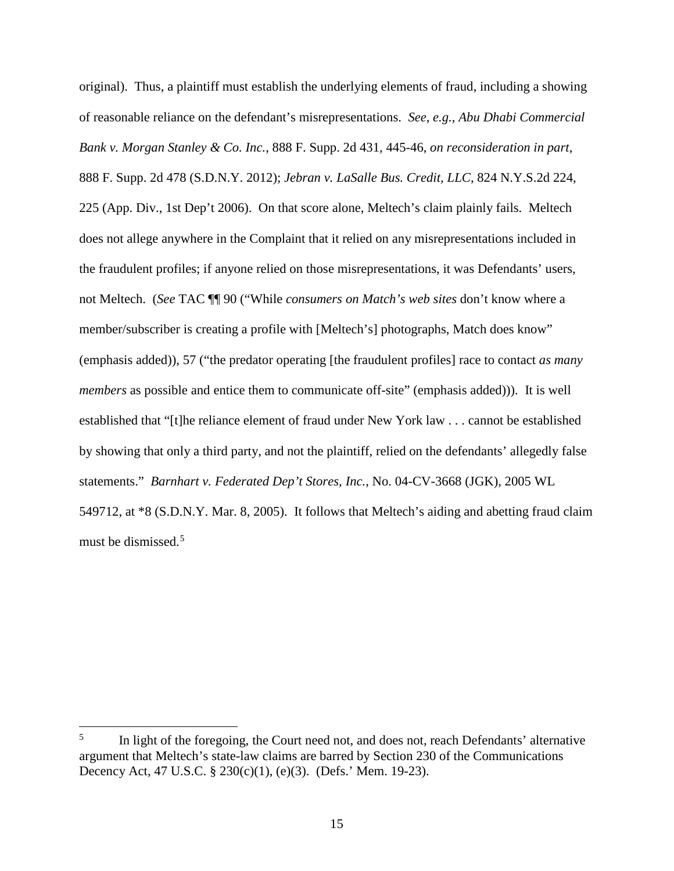original). Thus, a plaintiff must establish the underlying elements of fraud, including a showing of reasonable reliance on the defendant's misrepresentations. *See*, *e.g.*, *Abu Dhabi Commercial Bank v. Morgan Stanley & Co. Inc.*, 888 F. Supp. 2d 431, 445-46, *on reconsideration in part*, 888 F. Supp. 2d 478 (S.D.N.Y. 2012); *Jebran v. LaSalle Bus. Credit, LLC*, 824 N.Y.S.2d 224, 225 (App. Div., 1st Dep't 2006). On that score alone, Meltech's claim plainly fails. Meltech does not allege anywhere in the Complaint that it relied on any misrepresentations included in the fraudulent profiles; if anyone relied on those misrepresentations, it was Defendants' users, not Meltech. (*See* TAC ¶¶ 90 ("While *consumers on Match's web sites* don't know where a member/subscriber is creating a profile with [Meltech's] photographs, Match does know" (emphasis added)), 57 ("the predator operating [the fraudulent profiles] race to contact *as many members* as possible and entice them to communicate off-site" (emphasis added))). It is well established that "[t]he reliance element of fraud under New York law . . . cannot be established by showing that only a third party, and not the plaintiff, relied on the defendants' allegedly false statements." *Barnhart v. Federated Dep't Stores, Inc.*, No. 04-CV-3668 (JGK), 2005 WL 549712, at \*8 (S.D.N.Y. Mar. 8, 2005). It follows that Meltech's aiding and abetting fraud claim must be dismissed.<sup>5</sup>

 $\overline{a}$ 

<sup>5</sup> In light of the foregoing, the Court need not, and does not, reach Defendants' alternative argument that Meltech's state-law claims are barred by Section 230 of the Communications Decency Act, 47 U.S.C. § 230(c)(1), (e)(3). (Defs.' Mem. 19-23).